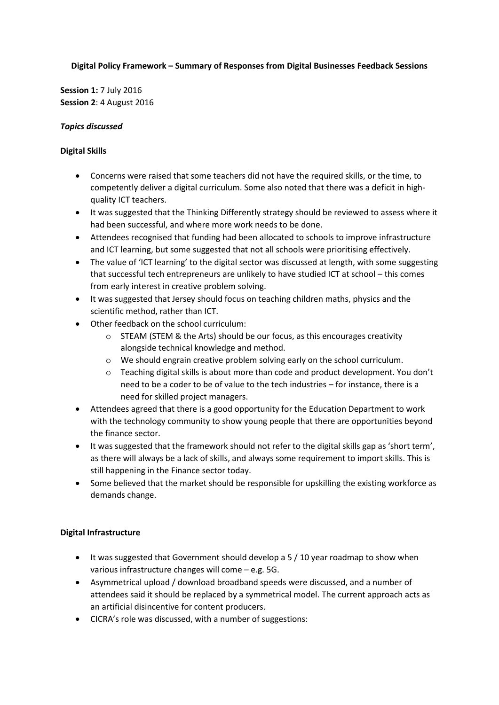#### **Digital Policy Framework – Summary of Responses from Digital Businesses Feedback Sessions**

**Session 1:** 7 July 2016 **Session 2**: 4 August 2016

#### *Topics discussed*

#### **Digital Skills**

- Concerns were raised that some teachers did not have the required skills, or the time, to competently deliver a digital curriculum. Some also noted that there was a deficit in highquality ICT teachers.
- It was suggested that the Thinking Differently strategy should be reviewed to assess where it had been successful, and where more work needs to be done.
- Attendees recognised that funding had been allocated to schools to improve infrastructure and ICT learning, but some suggested that not all schools were prioritising effectively.
- The value of 'ICT learning' to the digital sector was discussed at length, with some suggesting that successful tech entrepreneurs are unlikely to have studied ICT at school – this comes from early interest in creative problem solving.
- It was suggested that Jersey should focus on teaching children maths, physics and the scientific method, rather than ICT.
- Other feedback on the school curriculum:
	- $\circ$  STEAM (STEM & the Arts) should be our focus, as this encourages creativity alongside technical knowledge and method.
	- o We should engrain creative problem solving early on the school curriculum.
	- $\circ$  Teaching digital skills is about more than code and product development. You don't need to be a coder to be of value to the tech industries – for instance, there is a need for skilled project managers.
- Attendees agreed that there is a good opportunity for the Education Department to work with the technology community to show young people that there are opportunities beyond the finance sector.
- It was suggested that the framework should not refer to the digital skills gap as 'short term', as there will always be a lack of skills, and always some requirement to import skills. This is still happening in the Finance sector today.
- Some believed that the market should be responsible for upskilling the existing workforce as demands change.

## **Digital Infrastructure**

- It was suggested that Government should develop a 5 / 10 year roadmap to show when various infrastructure changes will come – e.g. 5G.
- Asymmetrical upload / download broadband speeds were discussed, and a number of attendees said it should be replaced by a symmetrical model. The current approach acts as an artificial disincentive for content producers.
- CICRA's role was discussed, with a number of suggestions: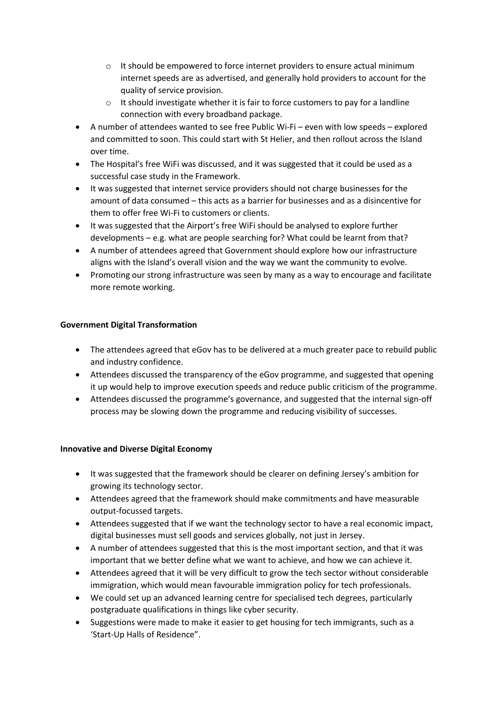- $\circ$  It should be empowered to force internet providers to ensure actual minimum internet speeds are as advertised, and generally hold providers to account for the quality of service provision.
- o It should investigate whether it is fair to force customers to pay for a landline connection with every broadband package.
- A number of attendees wanted to see free Public Wi-Fi even with low speeds explored and committed to soon. This could start with St Helier, and then rollout across the Island over time.
- The Hospital's free WiFi was discussed, and it was suggested that it could be used as a successful case study in the Framework.
- It was suggested that internet service providers should not charge businesses for the amount of data consumed – this acts as a barrier for businesses and as a disincentive for them to offer free Wi-Fi to customers or clients.
- It was suggested that the Airport's free WiFi should be analysed to explore further developments – e.g. what are people searching for? What could be learnt from that?
- A number of attendees agreed that Government should explore how our infrastructure aligns with the Island's overall vision and the way we want the community to evolve.
- Promoting our strong infrastructure was seen by many as a way to encourage and facilitate more remote working.

# **Government Digital Transformation**

- The attendees agreed that eGov has to be delivered at a much greater pace to rebuild public and industry confidence.
- Attendees discussed the transparency of the eGov programme, and suggested that opening it up would help to improve execution speeds and reduce public criticism of the programme.
- Attendees discussed the programme's governance, and suggested that the internal sign-off process may be slowing down the programme and reducing visibility of successes.

## **Innovative and Diverse Digital Economy**

- It was suggested that the framework should be clearer on defining Jersey's ambition for growing its technology sector.
- Attendees agreed that the framework should make commitments and have measurable output-focussed targets.
- Attendees suggested that if we want the technology sector to have a real economic impact, digital businesses must sell goods and services globally, not just in Jersey.
- A number of attendees suggested that this is the most important section, and that it was important that we better define what we want to achieve, and how we can achieve it.
- Attendees agreed that it will be very difficult to grow the tech sector without considerable immigration, which would mean favourable immigration policy for tech professionals.
- We could set up an advanced learning centre for specialised tech degrees, particularly postgraduate qualifications in things like cyber security.
- Suggestions were made to make it easier to get housing for tech immigrants, such as a 'Start-Up Halls of Residence".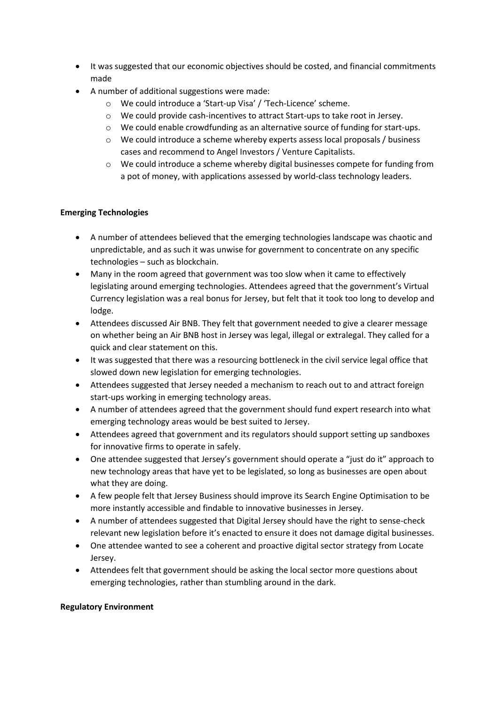- It was suggested that our economic objectives should be costed, and financial commitments made
- A number of additional suggestions were made:
	- o We could introduce a 'Start-up Visa' / 'Tech-Licence' scheme.
	- o We could provide cash-incentives to attract Start-ups to take root in Jersey.
	- o We could enable crowdfunding as an alternative source of funding for start-ups.
	- o We could introduce a scheme whereby experts assess local proposals / business cases and recommend to Angel Investors / Venture Capitalists.
	- $\circ$  We could introduce a scheme whereby digital businesses compete for funding from a pot of money, with applications assessed by world-class technology leaders.

## **Emerging Technologies**

- A number of attendees believed that the emerging technologies landscape was chaotic and unpredictable, and as such it was unwise for government to concentrate on any specific technologies – such as blockchain.
- Many in the room agreed that government was too slow when it came to effectively legislating around emerging technologies. Attendees agreed that the government's Virtual Currency legislation was a real bonus for Jersey, but felt that it took too long to develop and lodge.
- Attendees discussed Air BNB. They felt that government needed to give a clearer message on whether being an Air BNB host in Jersey was legal, illegal or extralegal. They called for a quick and clear statement on this.
- It was suggested that there was a resourcing bottleneck in the civil service legal office that slowed down new legislation for emerging technologies.
- Attendees suggested that Jersey needed a mechanism to reach out to and attract foreign start-ups working in emerging technology areas.
- A number of attendees agreed that the government should fund expert research into what emerging technology areas would be best suited to Jersey.
- Attendees agreed that government and its regulators should support setting up sandboxes for innovative firms to operate in safely.
- One attendee suggested that Jersey's government should operate a "just do it" approach to new technology areas that have yet to be legislated, so long as businesses are open about what they are doing.
- A few people felt that Jersey Business should improve its Search Engine Optimisation to be more instantly accessible and findable to innovative businesses in Jersey.
- A number of attendees suggested that Digital Jersey should have the right to sense-check relevant new legislation before it's enacted to ensure it does not damage digital businesses.
- One attendee wanted to see a coherent and proactive digital sector strategy from Locate Jersey.
- Attendees felt that government should be asking the local sector more questions about emerging technologies, rather than stumbling around in the dark.

#### **Regulatory Environment**